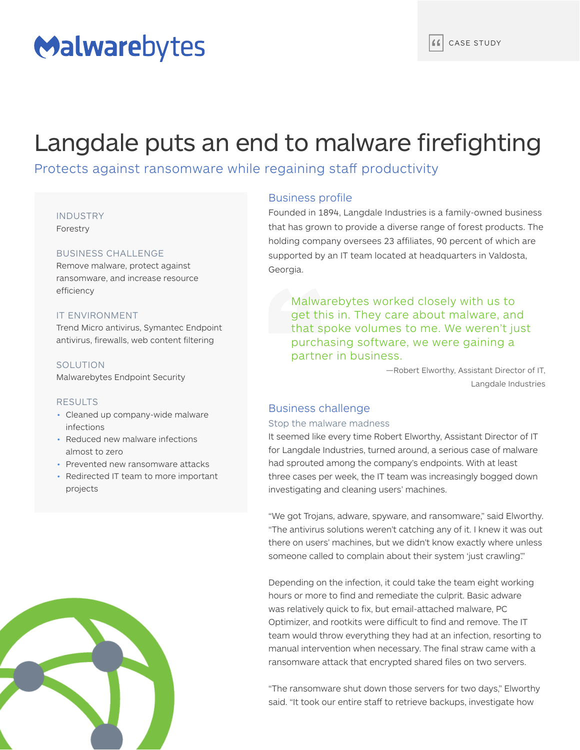# Malwarebytes

## Langdale puts an end to malware firefighting

### Protects against ransomware while regaining staff productivity

#### INDUSTRY

Forestry

#### BUSINESS CHALLENGE

Remove malware, protect against ransomware, and increase resource efficiency

#### IT ENVIRONMENT

Trend Micro antivirus, Symantec Endpoint antivirus, firewalls, web content filtering

#### SOLUTION

Malwarebytes Endpoint Security

#### RESULTS

- Cleaned up company-wide malware infections
- Reduced new malware infections almost to zero
- Prevented new ransomware attacks
- Redirected IT team to more important projects



#### Business profile

Founded in 1894, Langdale Industries is a family-owned business that has grown to provide a diverse range of forest products. The holding company oversees 23 affiliates, 90 percent of which are supported by an IT team located at headquarters in Valdosta, Georgia.

Malwarebytes worked closely with us to get this in. They care about malware, and that spoke volumes to me. We weren't just purchasing software, we were gaining a partner in business.

> —Robert Elworthy, Assistant Director of IT, Langdale Industries

#### Business challenge

#### Stop the malware madness

It seemed like every time Robert Elworthy, Assistant Director of IT for Langdale Industries, turned around, a serious case of malware had sprouted among the company's endpoints. With at least three cases per week, the IT team was increasingly bogged down investigating and cleaning users' machines.

"We got Trojans, adware, spyware, and ransomware," said Elworthy. "The antivirus solutions weren't catching any of it. I knew it was out there on users' machines, but we didn't know exactly where unless someone called to complain about their system 'just crawling'."

Depending on the infection, it could take the team eight working hours or more to find and remediate the culprit. Basic adware was relatively quick to fix, but email-attached malware, PC Optimizer, and rootkits were difficult to find and remove. The IT team would throw everything they had at an infection, resorting to manual intervention when necessary. The final straw came with a ransomware attack that encrypted shared files on two servers.

"The ransomware shut down those servers for two days," Elworthy said. "It took our entire staff to retrieve backups, investigate how